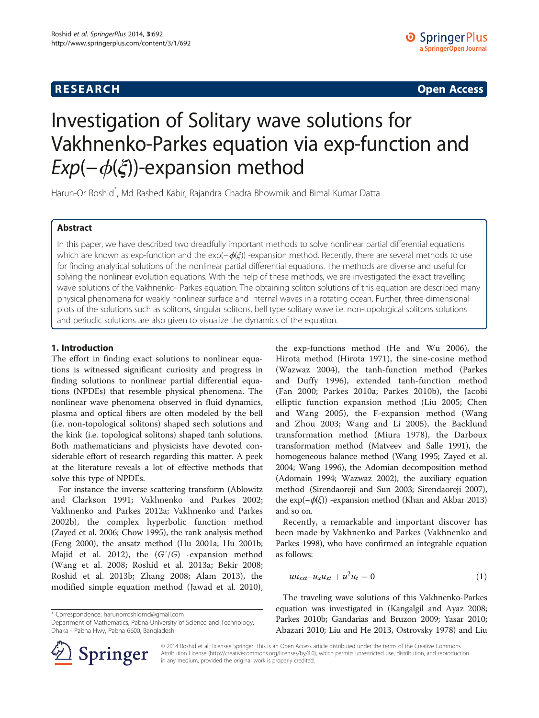# <span id="page-0-0"></span>**RESEARCH RESEARCH CONSUMING ACCESS**

# Investigation of Solitary wave solutions for Vakhnenko-Parkes equation via exp-function and  $Exp(-\phi(\xi))$ -expansion method

Harun-Or Roshid\* , Md Rashed Kabir, Rajandra Chadra Bhowmik and Bimal Kumar Datta

# Abstract

In this paper, we have described two dreadfully important methods to solve nonlinear partial differential equations which are known as exp-function and the exp( $-\phi(\xi)$ ) -expansion method. Recently, there are several methods to use for finding analytical solutions of the nonlinear partial differential equations. The methods are diverse and useful for solving the nonlinear evolution equations. With the help of these methods, we are investigated the exact travelling wave solutions of the Vakhnenko- Parkes equation. The obtaining soliton solutions of this equation are described many physical phenomena for weakly nonlinear surface and internal waves in a rotating ocean. Further, three-dimensional plots of the solutions such as solitons, singular solitons, bell type solitary wave i.e. non-topological solitons solutions and periodic solutions are also given to visualize the dynamics of the equation.

# 1. Introduction

The effort in finding exact solutions to nonlinear equations is witnessed significant curiosity and progress in finding solutions to nonlinear partial differential equations (NPDEs) that resemble physical phenomena. The nonlinear wave phenomena observed in fluid dynamics, plasma and optical fibers are often modeled by the bell (i.e. non-topological solitons) shaped sech solutions and the kink (i.e. topological solitons) shaped tanh solutions. Both mathematicians and physicists have devoted considerable effort of research regarding this matter. A peek at the literature reveals a lot of effective methods that solve this type of NPDEs.

For instance the inverse scattering transform (Ablowitz and Clarkson [1991](#page-8-0); Vakhnenko and Parkes [2002](#page-8-0); Vakhnenko and Parkes [2012a; Vakhnenko and Parkes](#page-8-0) [2002b\)](#page-8-0), the complex hyperbolic function method (Zayed et al. [2006](#page-9-0); Chow [1995](#page-8-0)), the rank analysis method (Feng [2000](#page-8-0)), the ansatz method (Hu [2001a;](#page-8-0) Hu [2001b](#page-8-0); Majid et al. [2012\)](#page-8-0), the  $(G'/G)$  -expansion method (Wang et al. [2008;](#page-8-0) Roshid et al. [2013a](#page-8-0); Bekir [2008](#page-8-0); Roshid et al. [2013b;](#page-8-0) Zhang [2008](#page-9-0); Alam [2013\)](#page-8-0), the modified simple equation method (Jawad et al. [2010](#page-8-0)),

\* Correspondence: [harunorroshidmd@gmail.com](mailto:harunorroshidmd@gmail.com)

Department of Mathematics, Pabna University of Science and Technology, Dhaka - Pabna Hwy, Pabna 6600, Bangladesh

the exp-functions method (He and Wu [2006](#page-8-0)), the Hirota method (Hirota [1971\)](#page-8-0), the sine-cosine method (Wazwaz [2004](#page-8-0)), the tanh-function method (Parkes and Duffy [1996](#page-8-0)), extended tanh-function method (Fan [2000](#page-8-0); Parkes [2010a;](#page-8-0) Parkes [2010b\)](#page-8-0), the Jacobi elliptic function expansion method (Liu [2005;](#page-8-0) Chen and Wang [2005\)](#page-8-0), the F-expansion method (Wang and Zhou [2003;](#page-8-0) Wang and Li [2005\)](#page-8-0), the Backlund transformation method (Miura [1978\)](#page-8-0), the Darboux transformation method (Matveev and Salle [1991\)](#page-8-0), the homogeneous balance method (Wang [1995;](#page-8-0) Zayed et al. [2004;](#page-9-0) Wang [1996](#page-8-0)), the Adomian decomposition method (Adomain [1994;](#page-8-0) Wazwaz [2002\)](#page-8-0), the auxiliary equation method (Sirendaoreji and Sun [2003;](#page-8-0) Sirendaoreji [2007](#page-8-0)), the  $exp(-\phi(\xi))$  -expansion method (Khan and Akbar [2013](#page-8-0)) and so on.

Recently, a remarkable and important discover has been made by Vakhnenko and Parkes (Vakhnenko and Parkes [1998](#page-8-0)), who have confirmed an integrable equation as follows:

$$
uu_{xxt} - u_x u_{xt} + u^2 u_t = 0 \tag{1}
$$

The traveling wave solutions of this Vakhnenko-Parkes equation was investigated in (Kangalgil and Ayaz [2008](#page-8-0); Parkes [2010b;](#page-8-0) Gandarias and Bruzon [2009](#page-8-0); Yasar [2010](#page-8-0); Abazari [2010](#page-8-0); Liu and He [2013,](#page-8-0) Ostrovsky [1978\)](#page-8-0) and Liu



© 2014 Roshid et al.; licensee Springer. This is an Open Access article distributed under the terms of the Creative Commons Attribution License [\(http://creativecommons.org/licenses/by/4.0\)](http://creativecommons.org/licenses/by/4.0), which permits unrestricted use, distribution, and reproduction in any medium, provided the original work is properly credited.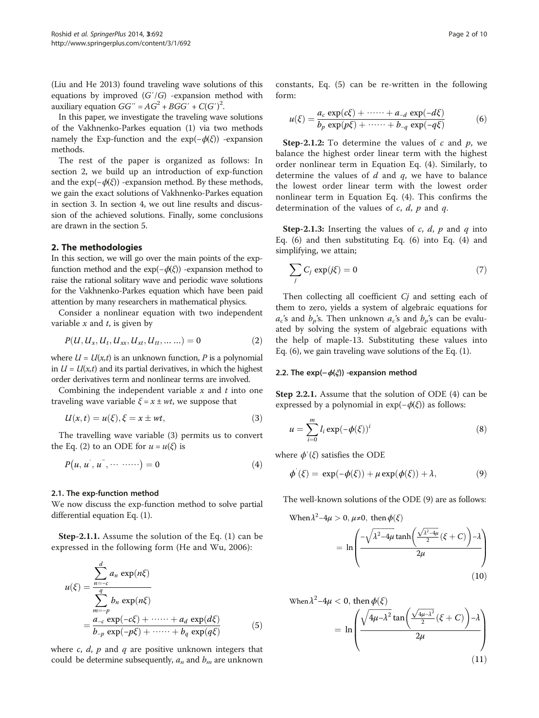<span id="page-1-0"></span>(Liu and He [2013\)](#page-8-0) found traveling wave solutions of this equations by improved  $(G'/G)$  -expansion method with auxiliary equation  $GG'' = AG^2 + BGG' + C(G')^2$ .

In this paper, we investigate the traveling wave solutions of the Vakhnenko-Parkes equation [\(1\)](#page-0-0) via two methods namely the Exp-function and the  $exp(-\phi(\xi))$  -expansion methods.

The rest of the paper is organized as follows: In section 2, we build up an introduction of exp-function and the  $exp(-\phi(\xi))$  -expansion method. By these methods, we gain the exact solutions of Vakhnenko-Parkes equation in section [3.](#page-2-0) In section [4](#page-5-0), we out line results and discussion of the achieved solutions. Finally, some conclusions are drawn in the section [5.](#page-8-0)

#### 2. The methodologies

In this section, we will go over the main points of the expfunction method and the  $exp(-\phi(\xi))$  -expansion method to raise the rational solitary wave and periodic wave solutions for the Vakhnenko-Parkes equation which have been paid attention by many researchers in mathematical physics.

Consider a nonlinear equation with two independent variable  $x$  and  $t$ , is given by

$$
P(U, U_x, U_t, U_{xx}, U_{xt}, U_{tt}, \dots \dots) = 0
$$
 (2)

where  $U = U(x,t)$  is an unknown function, P is a polynomial in  $U = U(x,t)$  and its partial derivatives, in which the highest order derivatives term and nonlinear terms are involved.

Combining the independent variable  $x$  and  $t$  into one traveling wave variable  $\xi = x \pm wt$ , we suppose that

$$
U(x,t) = u(\xi), \xi = x \pm wt,
$$
\n(3)

The travelling wave variable (3) permits us to convert the Eq. (2) to an ODE for  $u = u(\xi)$  is

$$
P(u, u^{'}, u^{''}, \cdots \cdots) = 0 \qquad (4)
$$

#### 2.1. The exp-function method

We now discuss the exp-function method to solve partial differential equation Eq. [\(1](#page-0-0)).

Step-2.1.1. Assume the solution of the Eq. ([1\)](#page-0-0) can be expressed in the following form (He and Wu, [2006](#page-8-0)):

$$
u(\xi) = \frac{\sum_{n=-c}^{d} a_n \exp(n\xi)}{\sum_{m=-p}^{q} b_n \exp(n\xi)}
$$
  
= 
$$
\frac{a_{-c} \exp(-c\xi) + \cdots + a_d \exp(d\xi)}{b_{-p} \exp(-p\xi) + \cdots + b_q \exp(q\xi)}
$$
 (5)

where  $c$ ,  $d$ ,  $p$  and  $q$  are positive unknown integers that could be determine subsequently,  $a_n$  and  $b_m$  are unknown constants, Eq. (5) can be re-written in the following form:

$$
u(\xi) = \frac{a_c \exp(c\xi) + \cdots + a_{-d} \exp(-d\xi)}{b_p \exp(p\xi) + \cdots + b_{-q} \exp(-q\xi)}
$$
(6)

**Step-2.1.2:** To determine the values of c and  $p$ , we balance the highest order linear term with the highest order nonlinear term in Equation Eq. (4). Similarly, to determine the values of  $d$  and  $q$ , we have to balance the lowest order linear term with the lowest order nonlinear term in Equation Eq. (4). This confirms the determination of the values of  $c$ ,  $d$ ,  $p$  and  $q$ .

**Step-2.1.3:** Inserting the values of c, d, p and q into Eq. (6) and then substituting Eq. (6) into Eq. (4) and simplifying, we attain;

$$
\sum_{j} C_j \exp(j\xi) = 0 \tag{7}
$$

Then collecting all coefficient Cj and setting each of them to zero, yields a system of algebraic equations for  $a_c$ 's and  $b_p$ 's. Then unknown  $a_c$ 's and  $b_p$ 's can be evaluated by solving the system of algebraic equations with the help of maple-13. Substituting these values into Eq. (6), we gain traveling wave solutions of the Eq. ([1\)](#page-0-0).

#### 2.2. The exp( $-\phi(\xi)$ ) -expansion method

Step 2.2.1. Assume that the solution of ODE (4) can be expressed by a polynomial in  $exp(-\phi(\xi))$  as follows:

$$
u = \sum_{i=0}^{m} l_i \exp(-\phi(\xi))^i
$$
 (8)

where  $\phi'(\xi)$  satisfies the ODE

$$
\phi'(\xi) = \exp(-\phi(\xi)) + \mu \exp(\phi(\xi)) + \lambda, \tag{9}
$$

The well-known solutions of the ODE (9) are as follows:

When 
$$
\lambda^2 - 4\mu > 0
$$
,  $\mu \neq 0$ , then  $\phi(\xi)$ 

$$
= \ln \left( \frac{-\sqrt{\lambda^2 - 4\mu} \tanh\left(\frac{\sqrt{\lambda^2 - 4\mu}}{2} (\xi + C)\right) - \lambda}{2\mu} \right) \tag{10}
$$

When 
$$
\lambda^2 - 4\mu < 0
$$
, then  $\phi(\xi)$   
=  $\ln \left( \frac{\sqrt{4\mu - \lambda^2} \tan \left( \frac{\sqrt{4\mu - \lambda^2}}{2} (\xi + C) \right) - \lambda}{2\mu} \right)$  (11)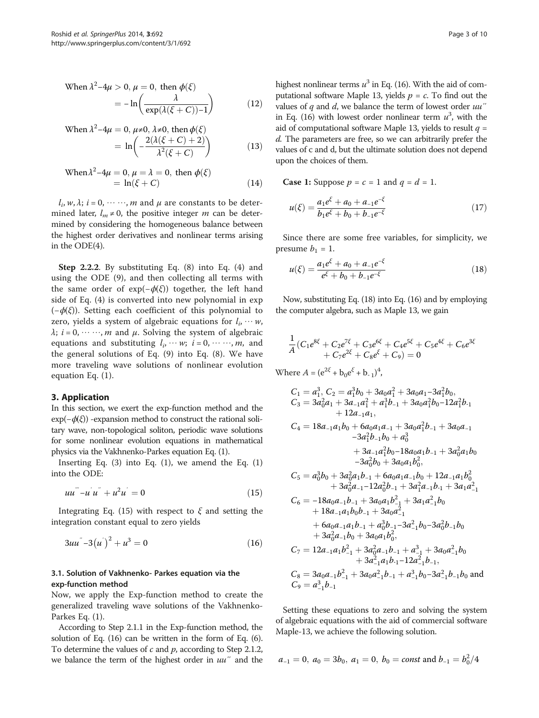<span id="page-2-0"></span>When 
$$
\lambda^2 - 4\mu > 0
$$
,  $\mu = 0$ , then  $\phi(\xi)$   
=  $-\ln\left(\frac{\lambda}{\exp(\lambda(\xi + C)) - 1}\right)$  (12)

When 
$$
\lambda^2 - 4\mu = 0
$$
,  $\mu \neq 0$ ,  $\lambda \neq 0$ , then  $\phi(\xi)$   
=  $\ln \left( -\frac{2(\lambda(\xi + C) + 2)}{\lambda^2(\xi + C)} \right)$  (13)

When 
$$
\lambda^2 - 4\mu = 0
$$
,  $\mu = \lambda = 0$ , then  $\phi(\xi)$   
= ln( $\xi$  + C) (14)

 $l_i$ ,  $w$ ,  $\lambda$ ;  $i = 0, \dots, m$  and  $\mu$  are constants to be determined later,  $l_m \neq 0$ , the positive integer *m* can be determined by considering the homogeneous balance between the highest order derivatives and nonlinear terms arising in the ODE([4](#page-1-0)).

Step 2.2.2. By substituting Eq. [\(8](#page-1-0)) into Eq. [\(4](#page-1-0)) and using the ODE ([9\)](#page-1-0), and then collecting all terms with the same order of  $exp(-\phi(\xi))$  together, the left hand side of Eq. ([4\)](#page-1-0) is converted into new polynomial in exp  $(-\phi(\xi))$ . Setting each coefficient of this polynomial to zero, yields a system of algebraic equations for  $l_i, \dots, w_n$ ,  $\lambda$ ;  $i = 0, \dots, m$  and  $\mu$ . Solving the system of algebraic equations and substituting  $l_i, \dots, w; i = 0, \dots, m$ , and the general solutions of Eq. ([9\)](#page-1-0) into Eq. [\(8](#page-1-0)). We have more traveling wave solutions of nonlinear evolution equation Eq. [\(1](#page-0-0)).

#### 3. Application

In this section, we exert the exp-function method and the  $exp(-\phi(\xi))$  -expansion method to construct the rational solitary wave, non-topological soliton, periodic wave solutions for some nonlinear evolution equations in mathematical physics via the Vakhnenko-Parkes equation Eq. [\(1\)](#page-0-0).

Inserting Eq.  $(3)$  $(3)$  $(3)$  into Eq.  $(1)$  $(1)$ , we amend the Eq.  $(1)$  $(1)$ into the ODE:

$$
uu'' - u'u'' + u^2u' = 0 \tag{15}
$$

Integrating Eq. (15) with respect to  $\xi$  and setting the integration constant equal to zero yields

$$
3uu^{\degree}-3(u^{\degree})^2+u^3=0 \tag{16}
$$

#### 3.1. Solution of Vakhnenko- Parkes equation via the exp-function method

Now, we apply the Exp-function method to create the generalized traveling wave solutions of the Vakhnenko-Parkes Eq. [\(1](#page-0-0)).

According to Step 2.1.1 in the Exp-function method, the solution of Eq. (16) can be written in the form of Eq. ([6](#page-1-0)). To determine the values of  $c$  and  $p$ , according to Step 2.1.2, we balance the term of the highest order in  $uu''$  and the highest nonlinear terms  $u^3$  in Eq. (16). With the aid of computational software Maple 13, yields  $p = c$ . To find out the values of  $q$  and  $d$ , we balance the term of lowest order  $uu''$ in Eq. (16) with lowest order nonlinear term  $u^3$ , with the aid of computational software Maple 13, yields to result  $q =$ d. The parameters are free, so we can arbitrarily prefer the values of c and d, but the ultimate solution does not depend upon the choices of them.

**Case 1:** Suppose  $p = c = 1$  and  $q = d = 1$ .

$$
u(\xi) = \frac{a_1 e^{\xi} + a_0 + a_{-1} e^{-\xi}}{b_1 e^{\xi} + b_0 + b_{-1} e^{-\xi}}
$$
(17)

Since there are some free variables, for simplicity, we presume  $b_1 = 1$ .

$$
u(\xi) = \frac{a_1 e^{\xi} + a_0 + a_{-1} e^{-\xi}}{e^{\xi} + b_0 + b_{-1} e^{-\xi}}
$$
(18)

Now, substituting Eq. (18) into Eq. (16) and by employing the computer algebra, such as Maple 13, we gain

$$
\frac{1}{A}(C_1e^{8\xi} + C_2e^{7\xi} + C_3e^{6\xi} + C_4e^{5\xi} + C_5e^{4\xi} + C_6e^{3\xi} + C_7e^{2\xi} + C_8e^{\xi} + C_9) = 0
$$

Where  $A = (e^{2\xi} + b_0 e^{\xi} + b_{-1})^4$ ,

$$
C_{1} = a_{1}^{3}, C_{2} = a_{1}^{3}b_{0} + 3a_{0}a_{1}^{2} + 3a_{0}a_{1} - 3a_{1}^{2}b_{0},
$$
  
\n
$$
C_{3} = 3a_{0}^{2}a_{1} + 3a_{-1}a_{1}^{2} + a_{1}^{3}b_{-1} + 3a_{0}a_{1}^{2}b_{0} - 12a_{1}^{2}b_{-1}
$$
  
\n
$$
+ 12a_{-1}a_{1},
$$
  
\n
$$
C_{4} = 18a_{-1}a_{1}b_{0} + 6a_{0}a_{1}a_{-1} + 3a_{0}a_{1}^{2}b_{-1} + 3a_{0}a_{-1}
$$
  
\n
$$
-3a_{1}^{2}b_{-1}b_{0} + a_{0}^{3}
$$
  
\n
$$
+ 3a_{-1}a_{1}^{2}b_{0} - 18a_{0}a_{1}b_{-1} + 3a_{0}^{2}a_{1}b_{0}
$$
  
\n
$$
-3a_{0}^{2}b_{0} + 3a_{0}a_{1}b_{0}^{2},
$$
  
\n
$$
C_{5} = a_{0}^{3}b_{0} + 3a_{0}^{2}a_{1}b_{-1} + 6a_{0}a_{1}a_{-1}b_{0} + 12a_{-1}a_{1}b_{0}^{2}
$$
  
\n
$$
+ 3a_{0}^{2}a_{-1} - 12a_{0}^{2}b_{-1} + 3a_{1}a_{-1}^{2}b_{0}
$$
  
\n
$$
+ 18a_{-1}a_{1}b_{0}b_{-1} + 3a_{0}a_{1}^{2}
$$
  
\n
$$
+ 6a_{0}a_{-1}a_{1}b_{-1} + a_{0}^{3}b_{-1} - 3a_{-1}^{2}b_{0} - 3a_{0}^{2}b_{-1}b_{0}
$$
  
\n
$$
+ 3a_{0}^{2}a_{-1}b_{0} + 3a_{0}a_{1}b_{0}^{2},
$$
  
\n
$$
C_{7} = 12a_{-1}a_{1}b
$$

Setting these equations to zero and solving the system of algebraic equations with the aid of commercial software Maple-13, we achieve the following solution.

$$
a_{-1} = 0
$$
,  $a_0 = 3b_0$ ,  $a_1 = 0$ ,  $b_0 = const$  and  $b_{-1} = b_0^2/4$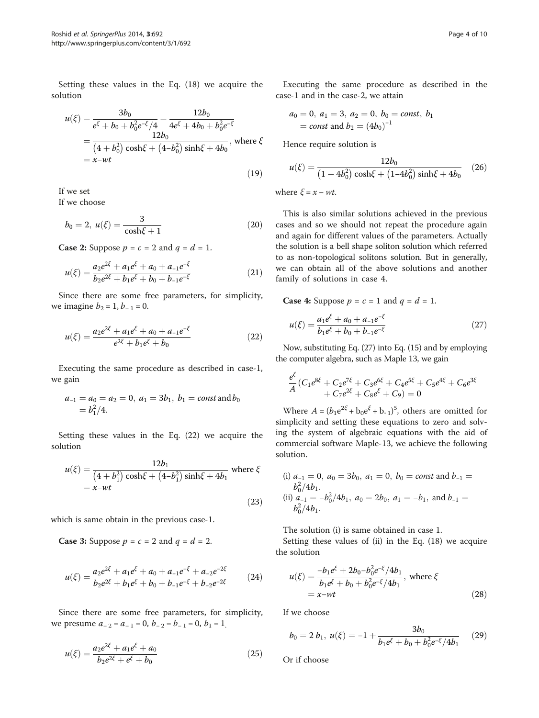<span id="page-3-0"></span>Setting these values in the Eq. ([18\)](#page-2-0) we acquire the solution

$$
u(\xi) = \frac{3b_0}{e^{\xi} + b_0 + b_0^2 e^{-\xi}/4} = \frac{12b_0}{4e^{\xi} + 4b_0 + b_0^2 e^{-\xi}}
$$
  
= 
$$
\frac{12b_0}{(4 + b_0^2)\cosh\xi + (4 - b_0^2)\sinh\xi + 4b_0}
$$
, where  $\xi$   
=  $x-wt$  (19)

If we set

If we choose

$$
b_0 = 2, \ u(\xi) = \frac{3}{\cosh \xi + 1} \tag{20}
$$

**Case 2:** Suppose  $p = c = 2$  and  $q = d = 1$ .

$$
u(\xi) = \frac{a_2 e^{2\xi} + a_1 e^{\xi} + a_0 + a_{-1} e^{-\xi}}{b_2 e^{2\xi} + b_1 e^{\xi} + b_0 + b_{-1} e^{-\xi}}
$$
(21)

Since there are some free parameters, for simplicity, we imagine  $b_2 = 1$ ,  $b_{-1} = 0$ .

$$
u(\xi) = \frac{a_2 e^{2\xi} + a_1 e^{\xi} + a_0 + a_{-1} e^{-\xi}}{e^{2\xi} + b_1 e^{\xi} + b_0}
$$
 (22)

Executing the same procedure as described in case-1, we gain

$$
a_{-1} = a_0 = a_2 = 0, a_1 = 3b_1, b_1 = const
$$
 and  $b_0 = b_1^2/4$ .

Setting these values in the Eq. (22) we acquire the solution

$$
u(\xi) = \frac{12b_1}{(4+b_1^2)\cosh\xi + (4-b_1^2)\sinh\xi + 4b_1}
$$
 where  $\xi$   
= x-wt (23)

which is same obtain in the previous case-1.

**Case 3:** Suppose  $p = c = 2$  and  $q = d = 2$ .

$$
u(\xi) = \frac{a_2 e^{2\xi} + a_1 e^{\xi} + a_0 + a_{-1} e^{-\xi} + a_{-2} e^{-2\xi}}{b_2 e^{2\xi} + b_1 e^{\xi} + b_0 + b_{-1} e^{-\xi} + b_{-2} e^{-2\xi}}
$$
(24)

Since there are some free parameters, for simplicity, we presume  $a_{-2} = a_{-1} = 0$ ,  $b_{-2} = b_{-1} = 0$ ,  $b_1 = 1$ .

$$
u(\xi) = \frac{a_2 e^{2\xi} + a_1 e^{\xi} + a_0}{b_2 e^{2\xi} + e^{\xi} + b_0}
$$
 (25)

Executing the same procedure as described in the case-1 and in the case-2, we attain

$$
a_0 = 0
$$
,  $a_1 = 3$ ,  $a_2 = 0$ ,  $b_0 = const$ ,  $b_1$   
= const and  $b_2 = (4b_0)^{-1}$ 

Hence require solution is

$$
u(\xi) = \frac{12b_0}{\left(1 + 4b_0^2\right)\cosh\xi + \left(1 - 4b_0^2\right)\sinh\xi + 4b_0} \tag{26}
$$

where  $\xi = x - wt$ .

This is also similar solutions achieved in the previous cases and so we should not repeat the procedure again and again for different values of the parameters. Actually the solution is a bell shape soliton solution which referred to as non-topological solitons solution. But in generally, we can obtain all of the above solutions and another family of solutions in case 4.

**Case 4:** Suppose  $p = c = 1$  and  $q = d = 1$ .

$$
u(\xi) = \frac{a_1 e^{\xi} + a_0 + a_{-1} e^{-\xi}}{b_1 e^{\xi} + b_0 + b_{-1} e^{-\xi}}
$$
(27)

Now, substituting Eq. (27) into Eq. ([15](#page-2-0)) and by employing the computer algebra, such as Maple 13, we gain

$$
\frac{e^{\xi}}{A}(C_1e^{8\xi} + C_2e^{7\xi} + C_3e^{6\xi} + C_4e^{5\xi} + C_5e^{4\xi} + C_6e^{3\xi} + C_7e^{2\xi} + C_8e^{\xi} + C_9) = 0
$$

Where  $A = (b_1 e^{2\xi} + b_0 e^{\xi} + b_{-1})^5$ , others are omitted for simplicity and setting these equations to zero and solving the system of algebraic equations with the aid of commercial software Maple-13, we achieve the following solution.

(i) 
$$
a_{-1} = 0
$$
,  $a_0 = 3b_0$ ,  $a_1 = 0$ ,  $b_0 = const$  and  $b_{-1} =$   
\n $b_0^2/4b_1$ .  
\n(ii)  $a_{-1} = -b_0^2/4b_1$ ,  $a_0 = 2b_0$ ,  $a_1 = -b_1$ , and  $b_{-1} =$   
\n $b_0^2/4b_1$ .

The solution (i) is same obtained in case 1.

Setting these values of (ii) in the Eq. [\(18](#page-2-0)) we acquire the solution

$$
u(\xi) = \frac{-b_1 e^{\xi} + 2b_0 - b_0^2 e^{-\xi} / 4b_1}{b_1 e^{\xi} + b_0 + b_0^2 e^{-\xi} / 4b_1}, \text{ where } \xi
$$
  
=  $x - wt$  (28)

If we choose

$$
b_0 = 2 b_1, \ u(\xi) = -1 + \frac{3b_0}{b_1 e^{\xi} + b_0 + b_0^2 e^{-\xi} / 4b_1} \quad (29)
$$

 $\sim$ 

Or if choose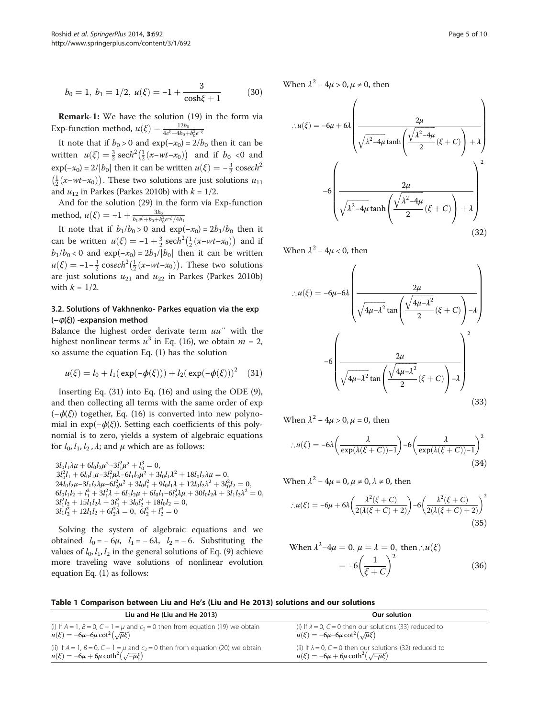<span id="page-4-0"></span>
$$
b_0 = 1, b_1 = 1/2, u(\xi) = -1 + \frac{3}{\cosh \xi + 1}
$$
 (30)

Remark-1: We have the solution [\(19](#page-3-0)) in the form via Exp-function method,  $u(\xi) = \frac{12b_0}{4e^{\xi} + 4b_0 + b_0^2 e^{-\xi}}$ 

It note that if  $b_0 > 0$  and  $exp(-x_0) = 2/b_0$  then it can be written  $u(\xi) = \frac{3}{2} \operatorname{sech}^2(\frac{1}{2}(x-wt-x_0))$  and if  $b_0 < 0$  and  $\exp(-x_0) = 2/|b_0|$  then it can be written  $u(\xi) = -\frac{3}{2} \operatorname{cosech}^2$  $\left(\frac{1}{2}(x-wt-x_0)\right)$ . These two solutions are just solutions  $u_{11}$ and  $u_{12}$  in Parkes (Parkes [2010b\)](#page-8-0) with  $k = 1/2$ .

And for the solution ([29\)](#page-3-0) in the form via Exp-function method,  $u(\xi) = -1 + \frac{3b_0}{b_1e^{\xi} + b_0 + b_0^2e^{-\xi}/4b_1}$ 

It note that if  $b_1/b_0 > 0$  and  $exp(-x_0) = 2b_1/b_0$  then it can be written  $u(\xi) = -1 + \frac{3}{2} \operatorname{sech}^2(\frac{1}{2}(x-wt-x_0))$  and if  $b_1/b_0 < 0$  and  $\exp(-x_0) = 2b_1/|b_0|$  then it can be written  $u(\xi) = -1 - \frac{3}{2} \csc h^2 \left(\frac{1}{2} (x - wt - x_0)\right)$ . These two solutions are just solutions  $u_{21}$  and  $u_{22}$  in Parkes (Parkes [2010b](#page-8-0)) with  $k = 1/2$ .

### 3.2. Solutions of Vakhnenko- Parkes equation via the exp (−ϕ(ξ)) -expansion method

Balance the highest order derivate term  $uu''$  with the highest nonlinear terms  $u^3$  in Eq. [\(16\)](#page-2-0), we obtain  $m = 2$ , so assume the equation Eq. ([1\)](#page-0-0) has the solution

$$
u(\xi) = l_0 + l_1(\exp(-\phi(\xi))) + l_2(\exp(-\phi(\xi)))^2
$$
 (31)

Inserting Eq. (31) into Eq. [\(16](#page-2-0)) and using the ODE [\(9](#page-1-0)), and then collecting all terms with the same order of exp  $(-\phi(\xi))$  together, Eq. [\(16\)](#page-2-0) is converted into new polynomial in  $exp(-\phi(\xi))$ . Setting each coefficients of this polynomial is to zero, yields a system of algebraic equations for  $l_0$ ,  $l_1$ ,  $l_2$ ,  $\lambda$ ; and  $\mu$  which are as follows:

 $3l_0l_1\lambda\mu + 6l_0l_2\mu^2 - 3l_1^2\mu^2 + l_0^3 = 0,$  $3l_0^2l_1+6l_0l_1\mu-3l_1^2\mu\lambda-6l_1l_2\mu^2+3l_0l_1\lambda^2+18l_0l_2\lambda\mu=0,$  $24l_0l_2\mu-3l_1l_2\lambda\mu-\hat{6}l_2^2\mu^2+3l_0l_1^2+9l_0l_1\lambda+12l_0l_2\lambda^2+3l_0^2l_2=0,$  $6l_0l_1l_2 + l_1^3 + 3l_1^2\lambda + 6l_1l_2\mu + 6l_0l_1 - 6l_2^2\lambda\mu + 30l_0l_2\lambda + 3l_1l_2\lambda^2 = 0,$ <br>  $3l_1^2l_2 + 15l_1l_2\lambda + 3l_1^2 + 3l_0l_2^2 + 18l_0l_2 = 0,$  $3l_1l_2^2 + 12l_1l_2 + 6l_2^2\lambda = 0, \ \tilde{6}l_2^2 + l_2^3 = 0$ 

Solving the system of algebraic equations and we obtained  $l_0 = -6\mu$ ,  $l_1 = -6\lambda$ ,  $l_2 = -6$ . Substituting the values of  $l_0$ ,  $l_1$ ,  $l_2$  in the general solutions of Eq. [\(9](#page-1-0)) achieve more traveling wave solutions of nonlinear evolution equation Eq. ([1](#page-0-0)) as follows:

When  $\lambda^2 - 4\mu > 0$ ,  $\mu \neq 0$ , then

$$
\therefore u(\xi) = -6\mu + 6\lambda \left( \frac{2\mu}{\sqrt{\lambda^2 - 4\mu \tanh\left(\frac{\sqrt{\lambda^2 - 4\mu}}{2}(\xi + C)\right) + \lambda}} \right)
$$

$$
-6\left( \frac{2\mu}{\sqrt{\lambda^2 - 4\mu \tanh\left(\frac{\sqrt{\lambda^2 - 4\mu}}{2}(\xi + C)\right) + \lambda}} \right)^2
$$
(32)

When  $\lambda^2 - 4\mu < 0$ , then

$$
\therefore u(\xi) = -6\mu - 6\lambda \left( \frac{2\mu}{\sqrt{4\mu - \lambda^2} \tan\left(\frac{\sqrt{4\mu - \lambda^2}}{2}(\xi + C)\right) - \lambda} \right)
$$

$$
-6\left( \frac{2\mu}{\sqrt{4\mu - \lambda^2} \tan\left(\frac{\sqrt{4\mu - \lambda^2}}{2}(\xi + C)\right) - \lambda} \right)^2
$$
(33)

When  $\lambda^2 - 4\mu > 0$ ,  $\mu = 0$ , then

$$
\therefore u(\xi) = -6\lambda \left(\frac{\lambda}{\exp(\lambda(\xi + C)) - 1}\right) - 6\left(\frac{\lambda}{\exp(\lambda(\xi + C)) - 1}\right)^2 \tag{34}
$$

When  $\lambda^2 - 4\mu = 0$ ,  $\mu \neq 0$ ,  $\lambda \neq 0$ , then

$$
\therefore u(\xi) = -6\mu + 6\lambda \left( \frac{\lambda^2 (\xi + C)}{2(\lambda(\xi + C) + 2)} \right) - 6\left( \frac{\lambda^2 (\xi + C)}{2(\lambda(\xi + C) + 2)} \right)^2 \tag{35}
$$

When 
$$
\lambda^2 - 4\mu = 0
$$
,  $\mu = \lambda = 0$ , then  $\therefore u(\xi)$   
=  $-6\left(\frac{1}{\xi + C}\right)^2$  (36)

Table 1 Comparison between Liu and He's (Liu and He [2013\)](#page-8-0) solutions and our solutions

| Liu and He (Liu and He 2013)                                                                                                              | Our solution                                                                                                          |
|-------------------------------------------------------------------------------------------------------------------------------------------|-----------------------------------------------------------------------------------------------------------------------|
| (i) If $A = 1$ , $B = 0$ , $C - 1 = \mu$ and $c_2 = 0$ then from equation (19) we obtain<br>$u(\xi) = -6\mu - 6\mu \cot^2(\sqrt{\mu}\xi)$ | (i) If $\lambda = 0$ , $C = 0$ then our solutions (33) reduced to<br>$u(\xi) = -6\mu - 6\mu \cot^2(\sqrt{\mu}\xi)$    |
| (ii) If $A = 1$ , $B = 0$ , $C - 1 = \mu$ and $c_2 = 0$ then from equation (20) we obtain $u(\xi) = -6\mu + 6\mu \coth^2(\sqrt{-\mu}\xi)$ | (ii) If $\lambda = 0$ , $C = 0$ then our solutions (32) reduced to<br>$u(\xi) = -6\mu + 6\mu \coth^2(\sqrt{-\mu}\xi)$ |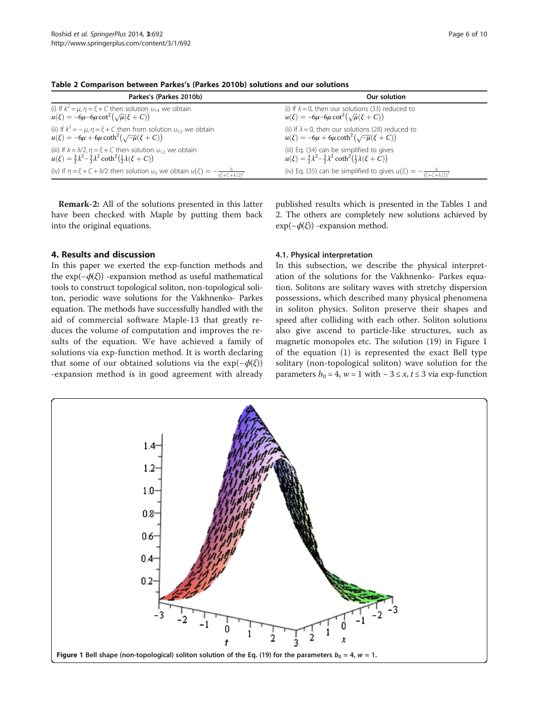| Parkes's (Parkes 2010b)                                                                                          | Our solution                                                                                |
|------------------------------------------------------------------------------------------------------------------|---------------------------------------------------------------------------------------------|
| (i) If $k^2 = \mu$ , $\eta = \xi + C$ then solution $u_{14}$ we obtain                                           | (i) If $\lambda = 0$ , then our solutions (33) reduced to                                   |
| $u(\xi) = -6\mu - 6\mu \cot^2(\sqrt{\mu}(\xi + C))$                                                              | $u(\xi) = -6\mu - 6\mu \cot^2(\sqrt{\mu}(\xi + C))$                                         |
| (ii) If $k^2 = -\mu$ , $\eta = \xi + C$ then from solution $u_{12}$ we obtain                                    | (ii) If $\lambda = 0$ , then our solutions (28) reduced to                                  |
| $u(\xi) = -6\mu + 6\mu \coth^2(\sqrt{-\mu}(\xi + C))$                                                            | $u(\xi) = -6\mu + 6\mu \coth^2(\sqrt{-\mu}(\xi + C))$                                       |
| (iii) If $k = \lambda/2$ , $\eta = \xi + C$ then solution $u_{12}$ we obtain                                     | (iii) Eq. (34) can be simplified to gives                                                   |
| $u(\xi) = \frac{3}{2}\lambda^2 - \frac{3}{2}\lambda^2 \coth^2(\frac{1}{2}\lambda(\xi + C))$                      | $u(\xi) = \frac{3}{2}\lambda^2 - \frac{3}{2}\lambda^2 \coth^2(\frac{1}{2}\lambda(\xi + C))$ |
| (iv) If $\eta = \xi + C + \lambda/2$ then solution $u_3$ we obtain $u(\xi) = -\frac{6}{(\xi + C + \lambda/2)^2}$ | (iv) Eq. (35) can be simplified to gives $u(\xi) = -\frac{6}{(\xi + C + \lambda/2)^2}$      |

<span id="page-5-0"></span>Table 2 Comparison between Parkes's (Parkes [2010b](#page-8-0)) solutions and our solutions

Remark-2: All of the solutions presented in this latter have been checked with Maple by putting them back into the original equations.

# 4. Results and discussion

In this paper we exerted the exp-function methods and the  $exp(-\phi(\xi))$  -expansion method as useful mathematical tools to construct topological soliton, non-topological soliton, periodic wave solutions for the Vakhnenko- Parkes equation. The methods have successfully handled with the aid of commercial software Maple-13 that greatly reduces the volume of computation and improves the results of the equation. We have achieved a family of solutions via exp-function method. It is worth declaring that some of our obtained solutions via the  $exp(-\phi(\xi))$ -expansion method is in good agreement with already

published results which is presented in the Tables [1](#page-4-0) and 2. The others are completely new solutions achieved by  $exp(-\phi(\xi))$  -expansion method.

#### 4.1. Physical interpretation

In this subsection, we describe the physical interpretation of the solutions for the Vakhnenko- Parkes equation. Solitons are solitary waves with stretchy dispersion possessions, which described many physical phenomena in soliton physics. Soliton preserve their shapes and speed after colliding with each other. Soliton solutions also give ascend to particle-like structures, such as magnetic monopoles etc. The solution ([19\)](#page-3-0) in Figure 1 of the equation [\(1](#page-0-0)) is represented the exact Bell type solitary (non-topological soliton) wave solution for the parameters  $b_0 = 4$ ,  $w = 1$  with  $-3 \le x, t \le 3$  via exp-function

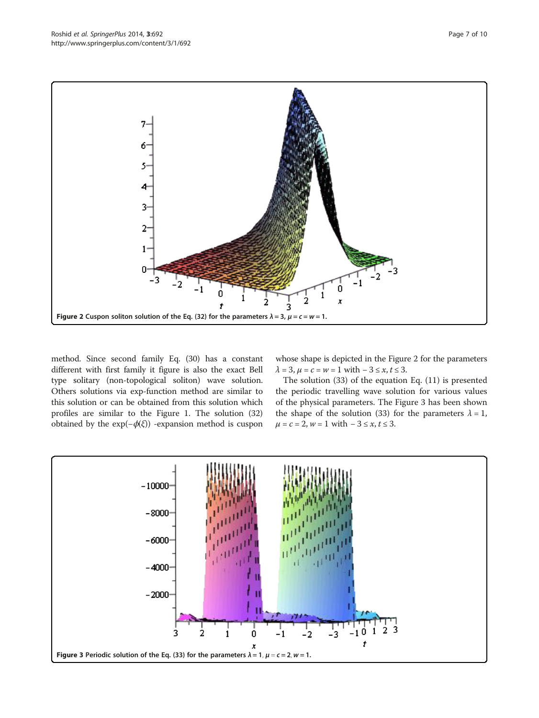<span id="page-6-0"></span>

method. Since second family Eq. [\(30\)](#page-4-0) has a constant different with first family it figure is also the exact Bell type solitary (non-topological soliton) wave solution. Others solutions via exp-function method are similar to this solution or can be obtained from this solution which profiles are similar to the Figure [1](#page-5-0). The solution ([32](#page-4-0)) obtained by the exp(−ϕ(ξ)) -expansion method is cuspon whose shape is depicted in the Figure 2 for the parameters  $\lambda = 3, \mu = c = w = 1$  with  $-3 \le x, t \le 3$ .

The solution ([33](#page-4-0)) of the equation Eq. [\(11\)](#page-1-0) is presented the periodic travelling wave solution for various values of the physical parameters. The Figure 3 has been shown the shape of the solution ([33\)](#page-4-0) for the parameters  $\lambda = 1$ ,  $\mu = c = 2, w = 1$  with  $-3 \le x, t \le 3$ .

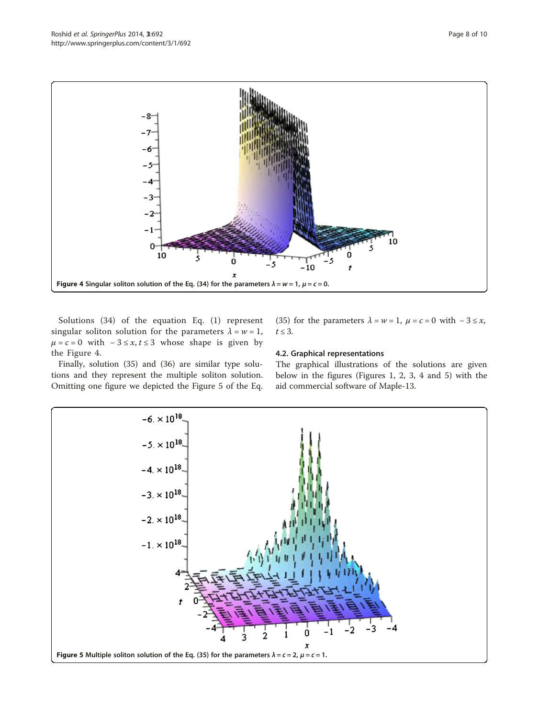

Solutions [\(34](#page-4-0)) of the equation Eq. ([1](#page-0-0)) represent singular soliton solution for the parameters  $\lambda = w = 1$ ,  $\mu = c = 0$  with  $-3 \le x, t \le 3$  whose shape is given by the Figure 4.

Finally, solution ([35](#page-4-0)) and ([36](#page-4-0)) are similar type solutions and they represent the multiple soliton solution. Omitting one figure we depicted the Figure 5 of the Eq. ([35\)](#page-4-0) for the parameters  $\lambda = w = 1$ ,  $\mu = c = 0$  with  $-3 \le x$ ,  $t \leq 3$ .

### 4.2. Graphical representations

The graphical illustrations of the solutions are given below in the figures (Figures [1,](#page-5-0) [2](#page-6-0), [3](#page-6-0), 4 and 5) with the aid commercial software of Maple-13.

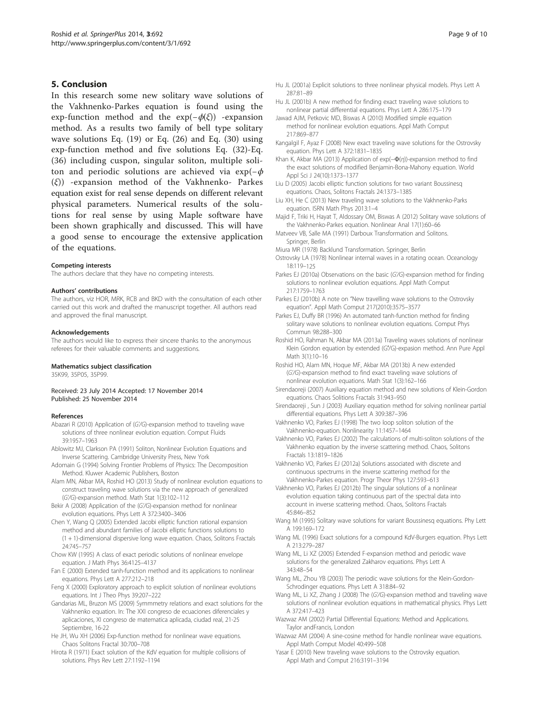#### <span id="page-8-0"></span>5. Conclusion

In this research some new solitary wave solutions of the Vakhnenko-Parkes equation is found using the exp-function method and the  $exp(-\phi(\xi))$  -expansion method. As a results two family of bell type solitary wave solutions Eq. [\(19](#page-3-0)) or Eq. ([26](#page-3-0)) and Eq. ([30](#page-4-0)) using exp-function method and five solutions Eq. ([32\)](#page-4-0)-Eq. ([36](#page-4-0)) including cuspon, singular soliton, multiple soliton and periodic solutions are achieved via exp( $-\phi$ (ξ)) -expansion method of the Vakhnenko- Parkes equation exist for real sense depends on different relevant physical parameters. Numerical results of the solutions for real sense by using Maple software have been shown graphically and discussed. This will have a good sense to encourage the extensive application of the equations.

#### Competing interests

The authors declare that they have no competing interests.

#### Authors' contributions

The authors, viz HOR, MRK, RCB and BKD with the consultation of each other carried out this work and drafted the manuscript together. All authors read and approved the final manuscript.

#### Acknowledgements

The authors would like to express their sincere thanks to the anonymous referees for their valuable comments and suggestions.

#### Mathematics subject classification

35K99, 35P05, 35P99.

Received: 23 July 2014 Accepted: 17 November 2014 Published: 25 November 2014

#### References

- Abazari R (2010) Application of (G'/G)-expansion method to traveling wave solutions of three nonlinear evolution equation. Comput Fluids 39:1957–1963
- Ablowitz MJ, Clarkson PA (1991) Soliton, Nonlinear Evolution Equations and Inverse Scattering. Cambridge University Press, New York
- Adomain G (1994) Solving Frontier Problems of Physics: The Decomposition Method. Kluwer Academic Publishers, Boston
- Alam MN, Akbar MA, Roshid HO (2013) Study of nonlinear evolution equations to construct traveling wave solutions via the new approach of generalized (G'/G)-expansion method. Math Stat 1(3):102–<sup>112</sup>
- Bekir A (2008) Application of the (G'/G)-expansion method for nonlinear evolution equations. Phys Lett A 372:3400–3406
- Chen Y, Wang Q (2005) Extended Jacobi elliptic function rational expansion method and abundant families of Jacobi elliptic functions solutions to (1 + 1)-dimensional dispersive long wave equation. Chaos, Solitons Fractals 24:745–757
- Chow KW (1995) A class of exact periodic solutions of nonlinear envelope equation. J Math Phys 36:4125–4137
- Fan E (2000) Extended tanh-function method and its applications to nonlinear equations. Phys Lett A 277:212–218
- Feng X (2000) Exploratory approach to explicit solution of nonlinear evolutions equations. Int J Theo Phys 39:207–222
- Gandarias ML, Bruzon MS (2009) Symmmetry relations and exact solutions for the Vakhnenko equation. In: The XXI congreso de ecuaciones diferenciales y aplicaciones, XI congreso de matematica aplicada, ciudad real, 21-25 Septiembre, 16-22
- He JH, Wu XH (2006) Exp-function method for nonlinear wave equations. Chaos Solitons Fractal 30:700–708
- Hirota R (1971) Exact solution of the KdV equation for multiple collisions of solutions. Phys Rev Lett 27:1192–1194
- Hu JL (2001a) Explicit solutions to three nonlinear physical models. Phys Lett A 287:81–89
- Hu JL (2001b) A new method for finding exact traveling wave solutions to nonlinear partial differential equations. Phys Lett A 286:175–179
- Jawad AJM, Petkovic MD, Biswas A (2010) Modified simple equation method for nonlinear evolution equations. Appl Math Comput 217:869–877
- Kangalgil F, Ayaz F (2008) New exact traveling wave solutions for the Ostrovsky equation. Phys Lett A 372:1831–1835
- Khan K, Akbar MA (2013) Application of exp(−Φ(η))-expansion method to find the exact solutions of modified Benjamin-Bona-Mahony equation. World Appl Sci J 24(10):1373–1377
- Liu D (2005) Jacobi elliptic function solutions for two variant Boussinesq equations. Chaos, Solitons Fractals 24:1373–1385
- Liu XH, He C (2013) New traveling wave solutions to the Vakhnenko-Parks equation. ISRN Math Phys 2013:1–4
- Majid F, Triki H, Hayat T, Aldossary OM, Biswas A (2012) Solitary wave solutions of the Vakhnenko-Parkes equation. Nonlinear Anal 17(1):60–66
- Matveev VB, Salle MA (1991) Darboux Transformation and Solitons. Springer, Berlin
- Miura MR (1978) Backlund Transformation. Springer, Berlin
- Ostrovsky LA (1978) Nonlinear internal waves in a rotating ocean. Oceanology 18:119–125
- Parkes EJ (2010a) Observations on the basic (G'/G)-expansion method for finding solutions to nonlinear evolution equations. Appl Math Comput 217:1759–1763
- Parkes EJ (2010b) A note on "New travelling wave solutions to the Ostrovsky equation". Appl Math Comput 217(2010):3575–3577
- Parkes EJ, Duffy BR (1996) An automated tanh-function method for finding solitary wave solutions to nonlinear evolution equations. Comput Phys Commun 98:288–300
- Roshid HO, Rahman N, Akbar MA (2013a) Traveling waves solutions of nonlinear Klein Gordon equation by extended (G′/G)-expasion method. Ann Pure Appl Math 3(1):10–16
- Roshid HO, Alam MN, Hoque MF, Akbar MA (2013b) A new extended (G'/G)-expansion method to find exact traveling wave solutions of nonlinear evolution equations. Math Stat 1(3):162–166
- Sirendaoreji (2007) Auxiliary equation method and new solutions of Klein-Gordon equations. Chaos Solitions Fractals 31:943–950
- Sirendaoreji , Sun J (2003) Auxiliary equation method for solving nonlinear partial differential equations. Phys Lett A 309:387–396
- Vakhnenko VO, Parkes EJ (1998) The two loop soliton solution of the Vakhnenko-equation. Nonlinearity 11:1457–1464
- Vakhnenko VO, Parkes EJ (2002) The calculations of multi-soliton solutions of the Vakhnenko equation by the inverse scattering method. Chaos, Solitons Fractals 13:1819–1826
- Vakhnenko VO, Parkes EJ (2012a) Solutions associated with discrete and continuous spectrums in the inverse scattering method for the Vakhnenko-Parkes equation. Progr Theor Phys 127:593–613
- Vakhnenko VO, Parkes EJ (2012b) The singular solutions of a nonlinear evolution equation taking continuous part of the spectral data into account in inverse scattering method. Chaos, Solitons Fractals 45:846–852
- Wang M (1995) Solitary wave solutions for variant Boussinesq equations. Phy Lett A 199:169–172
- Wang ML (1996) Exact solutions for a compound KdV-Burgers equation. Phys Lett A 213:279–287
- Wang ML, Li XZ (2005) Extended F-expansion method and periodic wave solutions for the generalized Zakharov equations. Phys Lett A 343:48–54
- Wang ML, Zhou YB (2003) The periodic wave solutions for the Klein-Gordon-Schrodinger equations. Phys Lett A 318:84–92
- Wang ML, Li XZ, Zhang J (2008) The (G'/G)-expansion method and traveling wave solutions of nonlinear evolution equations in mathematical physics. Phys Lett A 372:417–423
- Wazwaz AM (2002) Partial Differential Equations: Method and Applications. Taylor andFrancis, London
- Wazwaz AM (2004) A sine-cosine method for handle nonlinear wave equations. Appl Math Comput Model 40:499–508
- Yasar E (2010) New traveling wave solutions to the Ostrovsky equation. Appl Math and Comput 216:3191–3194